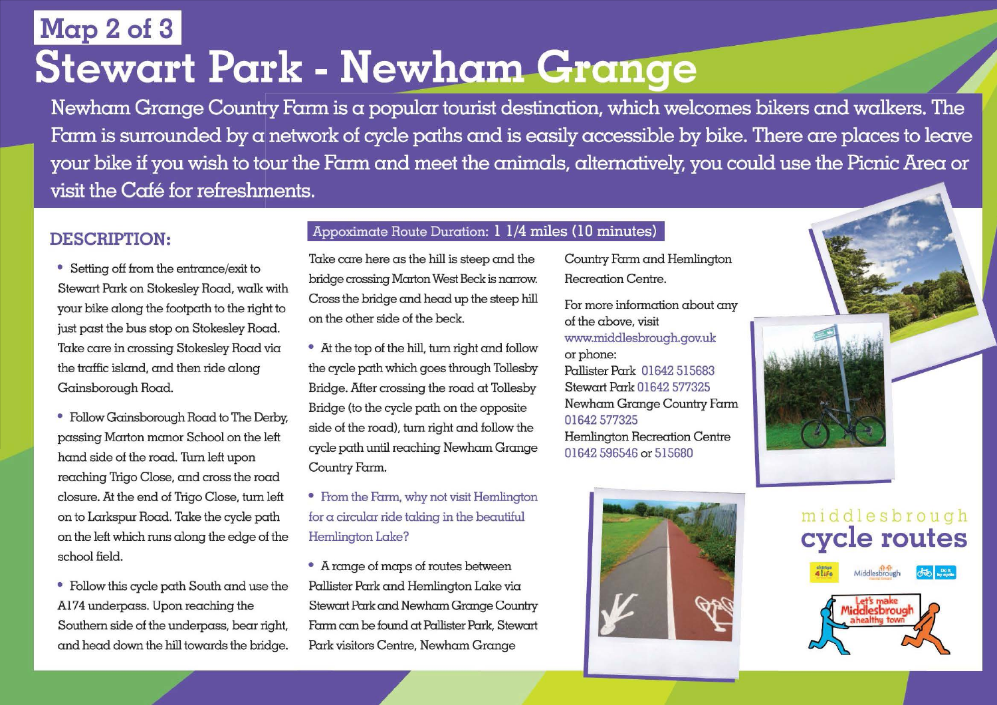## **Map 2 of 3 Stewart Park - Newham Grange**

Newham Grange Country Farm is a popular tourist destination, which welcomes bikers and walkers. The Farm is surrounded by a network of cycle paths and is easily accessible by bike. There are places to leave your bike if you wish to tour the Farm and meet the animals, alternatively, you could use the Picnic Area or visit the Café for refreshments.

• Setting off from the entrance/exit to Stewart Park on Stokesley Road, walk with your bike along the footpath to the right to just past the bus stop on Stokesley Road. Take care in crossing Stokesley Road via the traffic island, and then ride along Gainsborough Road.

• Follow Gainsborough Road to The Derby, passing Marton manor School on the left hand side of the road. Turn left upon reaching Trigo Close, and cross the road closure. At the end of Trigo Close, turn left on to Larkspur Road. Take the cycle path on the left which runs along the edge of the school field.

• Follow this cycle path South and use the Pallister Park and Hemlington Lake via Al74 underpass. Upon reaching the Stewart Park and Newham Grange Country Southern side of the underpass, bear right, Farm can be found at Pallister Park, Stewart and head down the hill towards the bridge. Park visitors Centre, Newham Grange

### **DESCRIPTION:** Appoximate Route Duration: 1 1/4 miles (10 minutes)

Take care here as the hill is steep and the bridge crossing Marton West Beckis narrow. Cross the bridge and head up the steep hill on the other side of the beck.

• At the top of the hill, turn right and follow the cycle path which goes through Tollesby Bridge. After crossing the road at Tollesby Bridge (to the cycle path on the opposite side of the road), turn right and follow the cycle path until reaching Newham Grange Country Farm.

• From the Farm, why not visit Hemlington for a circular ride taking in the beautiful Hemlington Lake?

• A range of maps of routes between

Country Farm and Hemlington Recreation Centre.

For more information about any of the above, visit www.middlesbrough.gov.uk or phone: Pallister Park 01642 515683 Stewart Park 01642 577325 Newham Grange Country Farm 01642 577325 Hemlington Recreation Centre

01642 596546 or 515680



# m1ddlesbrough **cycle routes**